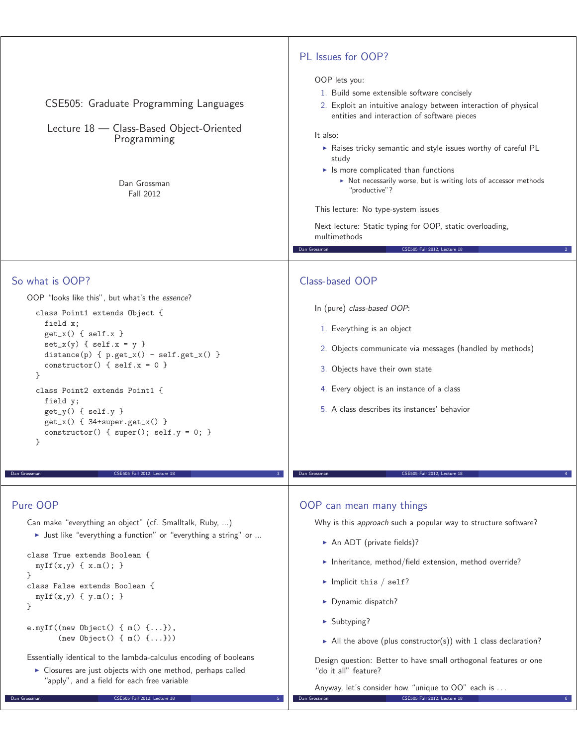| CSE505: Graduate Programming Languages<br>Lecture 18 - Class-Based Object-Oriented<br>Programming<br>Dan Grossman<br>Fall 2012                                                                                                                                                                                                                                                                                                                                                                                                                                                            | PL Issues for OOP?<br>OOP lets you:<br>1. Build some extensible software concisely<br>2. Exploit an intuitive analogy between interaction of physical<br>entities and interaction of software pieces<br>It also:<br>Raises tricky semantic and style issues worthy of careful PL<br>study<br>$\blacktriangleright$ Is more complicated than functions<br>> Not necessarily worse, but is writing lots of accessor methods<br>"productive"?<br>This lecture: No type-system issues<br>Next lecture: Static typing for OOP, static overloading,<br>multimethods<br>Dan Grossman<br>CSE505 Fall 2012, Lecture 18 |
|-------------------------------------------------------------------------------------------------------------------------------------------------------------------------------------------------------------------------------------------------------------------------------------------------------------------------------------------------------------------------------------------------------------------------------------------------------------------------------------------------------------------------------------------------------------------------------------------|---------------------------------------------------------------------------------------------------------------------------------------------------------------------------------------------------------------------------------------------------------------------------------------------------------------------------------------------------------------------------------------------------------------------------------------------------------------------------------------------------------------------------------------------------------------------------------------------------------------|
| So what is OOP?<br>OOP "looks like this", but what's the essence?<br>class Point1 extends Object {<br>field x;<br>$get_x() \{ self.x \}$<br>$set_x(y) \{ self.x = y \}$<br>$distance(p) \{ p.get_x() - self.get_x() \}$<br>constructor() { $self.x = 0$ }<br>$\mathcal{F}$<br>class Point2 extends Point1 {<br>field y;<br>$get_y() \{ self.y \}$<br>$get_x() \{ 34+super.get_x() \}$<br>constructor() { $super()$ ; $self.y = 0$ ; }<br>}<br>Dan Grossman<br>CSE505 Fall 2012, Lecture 18                                                                                                | Class-based OOP<br>In (pure) class-based OOP:<br>1. Everything is an object<br>2. Objects communicate via messages (handled by methods)<br>3. Objects have their own state<br>4. Every object is an instance of a class<br>5. A class describes its instances' behavior<br>CSE505 Fall 2012, Lecture 18<br>Dan Grossman                                                                                                                                                                                                                                                                                       |
| Pure OOP<br>Can make "everything an object" (cf. Smalltalk, Ruby, )<br>> Just like "everything a function" or "everything a string" or<br>class True extends Boolean {<br>$myIf(x,y) \{ x.m(); \}$<br>ł<br>class False extends Boolean {<br>$myIf(x,y) { y.m(); }$<br>}<br>e.myIf((new Object() $\{ m() \{  \} \}$ ,<br>$(new Object() { m() {  }}) )$<br>Essentially identical to the lambda-calculus encoding of booleans<br>> Closures are just objects with one method, perhaps called<br>"apply", and a field for each free variable<br>CSE505 Fall 2012, Lecture 18<br>Dan Grossman | OOP can mean many things<br>Why is this approach such a popular way to structure software?<br>An ADT (private fields)?<br>Inheritance, method/field extension, method override?<br>$\blacktriangleright$ Implicit this / self?<br>> Dynamic dispatch?<br>$\blacktriangleright$ Subtyping?<br>All the above (plus constructor(s)) with 1 class declaration?<br>Design question: Better to have small orthogonal features or one<br>"do it all" feature?<br>Anyway, let's consider how "unique to OO" each is<br>Dan Grossman<br>CSE505 Fall 2012, Lecture 18                                                   |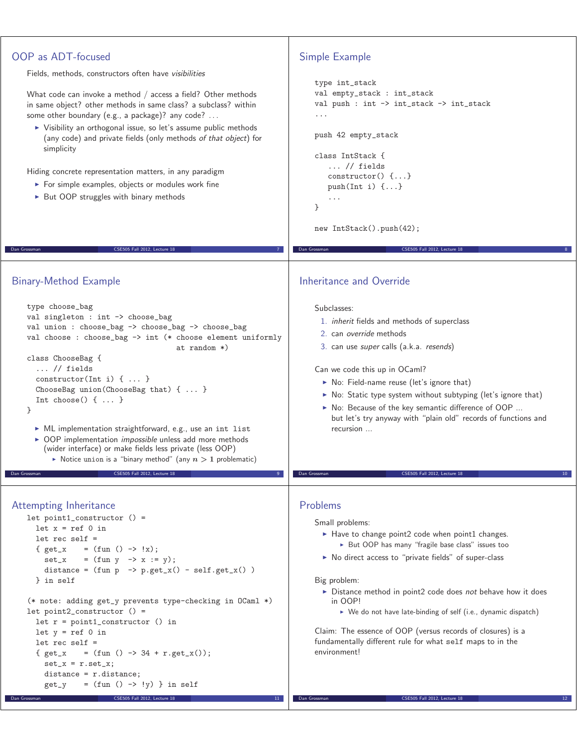## OOP as ADT-focused Fields, methods, constructors often have visibilities What code can invoke a method / access a field? Other methods in same object? other methods in same class? a subclass? within some other boundary (e.g., a package)? any code? ... - Visibility an orthogonal issue, so let's assume public methods (any code) and private fields (only methods of that object) for simplicity Hiding concrete representation matters, in any paradigm **For simple examples, objects or modules work fine** ▶ But OOP struggles with binary methods Dan Grossman CSE505 Fall 2012, Lecture 18 7 Simple Example type int\_stack val empty\_stack : int\_stack val push : int -> int\_stack -> int\_stack ... push 42 empty\_stack class IntStack { ... // fields constructor() {...} push(Int i)  $\{ \ldots \}$ ... } new IntStack().push(42); Dan Grossman CSE505 Fall 2012, Lecture 18 8 Binary-Method Example type choose\_bag val singleton : int -> choose\_bag val union : choose\_bag -> choose\_bag -> choose\_bag val choose : choose\_bag -> int (\* choose element uniformly at random \*) class ChooseBag { ... // fields constructor(Int i) { ... } ChooseBag union(ChooseBag that) { ... } Int choose() { ... } } - ML implementation straightforward, e.g., use an int list ▶ OOP implementation *impossible* unless add more methods (wider interface) or make fields less private (less OOP)  $\triangleright$  Notice union is a "binary method" (any  $n > 1$  problematic) Dan Grossman CSE505 Fall 2012, Lecture 18 9 Inheritance and Override Subclasses: 1. inherit fields and methods of superclass 2. can override methods 3. can use super calls (a.k.a. resends) Can we code this up in OCaml? ▶ No: Field-name reuse (let's ignore that) ▶ No: Static type system without subtyping (let's ignore that) ▶ No: Because of the key semantic difference of OOP ... but let's try anyway with "plain old" records of functions and recursion ... CSE505 Fall 2012, Lecture 18 Attempting Inheritance let point1\_constructor () = let  $x = ref 0 in$ let rec self = {  $get_x = (fun () -> !x);$  $set_x$  =  $(fun y \rightarrow x := y)$ ; distance =  $(fun p \rightarrow p.get_x() - self.get_x() )$ } in self (\* note: adding get\_y prevents type-checking in OCaml \*) let point2\_constructor () = let r = point1\_constructor () in let  $y = ref 0 in$ let rec self = {  $get_x = (fun () -> 34 + r.get_x())$ ;  $set_x = r.set_x;$ distance = r.distance;  $get_y = (fun () \rightarrow !y)$  in self CSE505 Fall 2012, Lecture 18 Problems Small problems: ▶ Have to change point2 code when point1 changes. ► But OOP has many "fragile base class" issues too ▶ No direct access to "private fields" of super-class Big problem: Distance method in point2 code does not behave how it does in OOP! ► We do not have late-binding of self (i.e., dynamic dispatch) Claim: The essence of OOP (versus records of closures) is a fundamentally different rule for what self maps to in the environment! Dan Grossman CSE505 Fall 2012, Lecture 18 12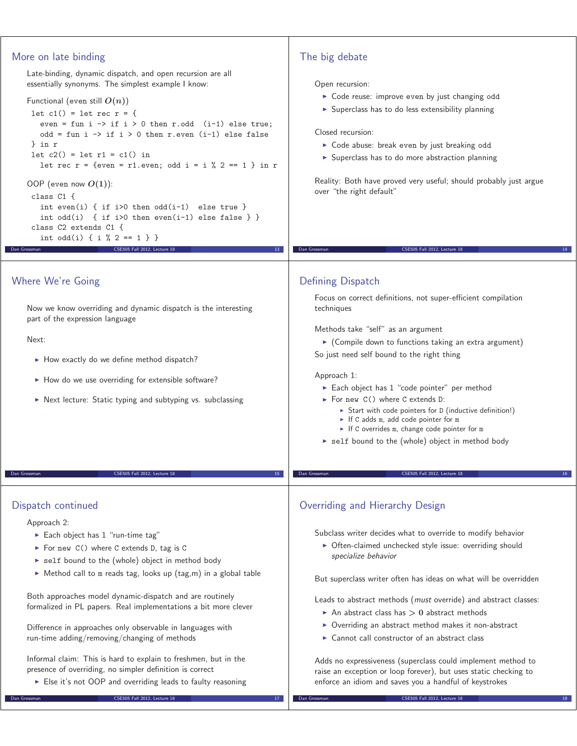## More on late binding Late-binding, dynamic dispatch, and open recursion are all essentially synonyms. The simplest example I know: Functional (even still  $O(n)$ ) let  $c1()$  = let rec  $r = \{$ even = fun i  $\rightarrow$  if i > 0 then r.odd (i-1) else true; odd = fun i  $\rightarrow$  if i > 0 then r.even (i-1) else false } in r let  $c2()$  = let  $r1 = c1()$  in let rec  $r = \{even = r1.event; odd i = i \% 2 == 1 \} in r$ OOP (even now *O***(1)**): class C1 { int even(i) { if i>0 then  $odd(i-1)$  else true } int odd(i) { if i>0 then even(i-1) else false } } class C2 extends C1 { int odd(i) { i % 2 == 1 } } CSE505 Fall 2012, Lect The big debate Open recursion: - Code reuse: improve even by just changing odd - Superclass has to do less extensibility planning Closed recursion: - Code abuse: break even by just breaking odd **>** Superclass has to do more abstraction planning Reality: Both have proved very useful; should probably just argue over "the right default" Dan Grossman CSE505 Fall 2012, Lecture 18 14 Where We're Going Now we know overriding and dynamic dispatch is the interesting part of the expression language Next: ► How exactly do we define method dispatch? ► How do we use overriding for extensible software? - Next lecture: Static typing and subtyping vs. subclassing CSE505 Fall 2012, Lecture 18 Defining Dispatch Focus on correct definitions, not super-efficient compilation techniques Methods take "self" as an argument - (Compile down to functions taking an extra argument) So just need self bound to the right thing Approach 1: ► Each object has 1 "code pointer" per method ► For new C() where C extends D: - Start with code pointers for D (inductive definition!) - If C adds m, add code pointer for m ► If C overrides m, change code pointer for m ▶ self bound to the (whole) object in method body CSE505 Fall 2012, Lecture 18 Dispatch continued Approach 2: ► Each object has 1 "run-time tag" ► For new C() where C extends D, tag is C ▶ self bound to the (whole) object in method body ► Method call to m reads tag, looks up (tag,m) in a global table Both approaches model dynamic-dispatch and are routinely formalized in PL papers. Real implementations a bit more clever Difference in approaches only observable in languages with run-time adding/removing/changing of methods Overriding and Hierarchy Design Subclass writer decides what to override to modify behavior - Often-claimed unchecked style issue: overriding should specialize behavior But superclass writer often has ideas on what will be overridden Leads to abstract methods (must override) and abstract classes: ▶ An abstract class has > 0 abstract methods ▶ Overriding an abstract method makes it non-abstract - Cannot call constructor of an abstract class

Informal claim: This is hard to explain to freshmen, but in the presence of overriding, no simpler definition is correct

Else it's not OOP and overriding leads to faulty reasoning CSE505 Fall 2012, Lecture 18

Adds no expressiveness (superclass could implement method to raise an exception or loop forever), but uses static checking to enforce an idiom and saves you a handful of keystrokes